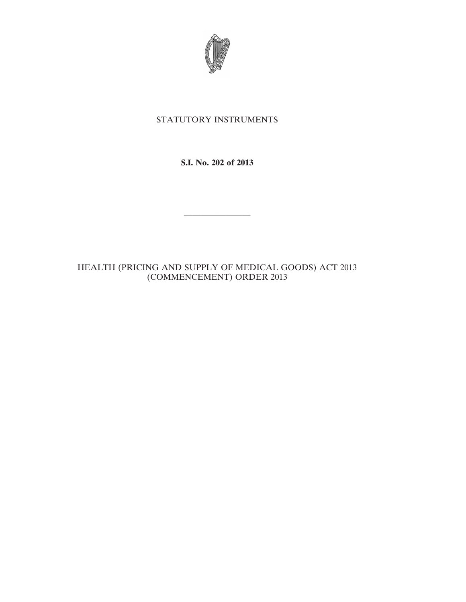

## STATUTORY INSTRUMENTS

**S.I. No. 202 of 2013**

————————

HEALTH (PRICING AND SUPPLY OF MEDICAL GOODS) ACT 2013 (COMMENCEMENT) ORDER 2013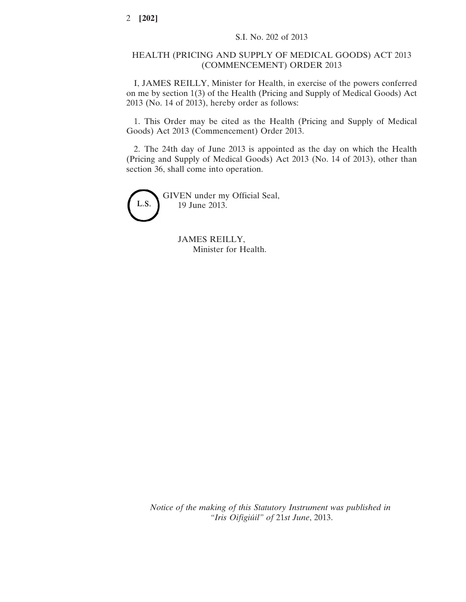## HEALTH (PRICING AND SUPPLY OF MEDICAL GOODS) ACT 2013 (COMMENCEMENT) ORDER 2013

I, JAMES REILLY, Minister for Health, in exercise of the powers conferred on me by section 1(3) of the Health (Pricing and Supply of Medical Goods) Act 2013 (No. 14 of 2013), hereby order as follows:

1. This Order may be cited as the Health (Pricing and Supply of Medical Goods) Act 2013 (Commencement) Order 2013.

2. The 24th day of June 2013 is appointed as the day on which the Health (Pricing and Supply of Medical Goods) Act 2013 (No. 14 of 2013), other than section 36, shall come into operation.



GIVEN under my Official Seal, 19 June 2013.

> JAMES REILLY, Minister for Health.

*Notice of the making of this Statutory Instrument was published in "Iris Oifigiúil" of* 21*st June*, 2013.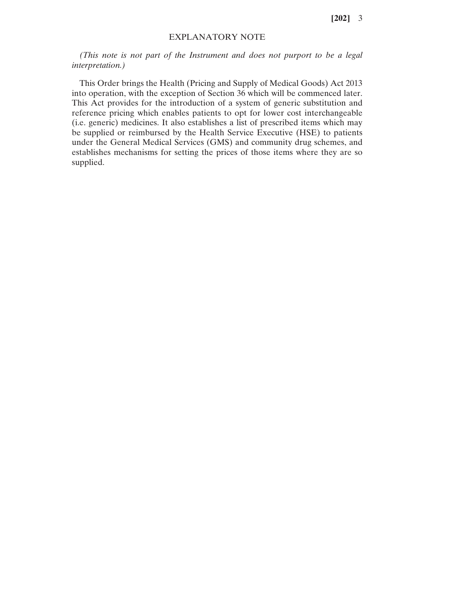**[202]** 3

## EXPLANATORY NOTE

*(This note is not part of the Instrument and does not purport to be a legal interpretation.)*

This Order brings the Health (Pricing and Supply of Medical Goods) Act 2013 into operation, with the exception of Section 36 which will be commenced later. This Act provides for the introduction of a system of generic substitution and reference pricing which enables patients to opt for lower cost interchangeable (i.e. generic) medicines. It also establishes a list of prescribed items which may be supplied or reimbursed by the Health Service Executive (HSE) to patients under the General Medical Services (GMS) and community drug schemes, and establishes mechanisms for setting the prices of those items where they are so supplied.